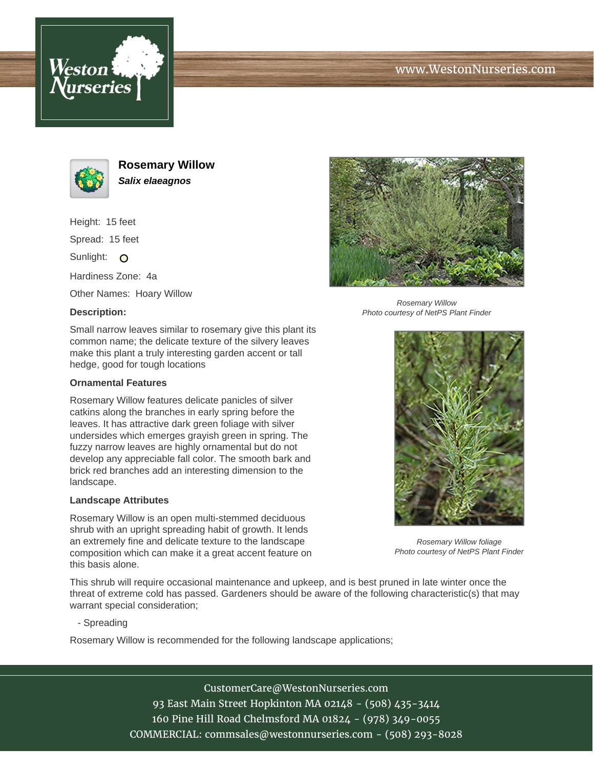



**Rosemary Willow Salix elaeagnos**

Height: 15 feet

Spread: 15 feet

Sunlight: O

Hardiness Zone: 4a

Other Names: Hoary Willow

## **Description:**



Rosemary Willow Photo courtesy of NetPS Plant Finder

Small narrow leaves similar to rosemary give this plant its common name; the delicate texture of the silvery leaves make this plant a truly interesting garden accent or tall hedge, good for tough locations

## **Ornamental Features**

Rosemary Willow features delicate panicles of silver catkins along the branches in early spring before the leaves. It has attractive dark green foliage with silver undersides which emerges grayish green in spring. The fuzzy narrow leaves are highly ornamental but do not develop any appreciable fall color. The smooth bark and brick red branches add an interesting dimension to the landscape.

## **Landscape Attributes**

Rosemary Willow is an open multi-stemmed deciduous shrub with an upright spreading habit of growth. It lends an extremely fine and delicate texture to the landscape composition which can make it a great accent feature on this basis alone.

This shrub will require occasional maintenance and upkeep, and is best pruned in late winter once the threat of extreme cold has passed. Gardeners should be aware of the following characteristic(s) that may warrant special consideration;

- Spreading

Rosemary Willow is recommended for the following landscape applications;

CustomerCare@WestonNurseries.com 93 East Main Street Hopkinton MA 02148 - (508) 435-3414 160 Pine Hill Road Chelmsford MA 01824 - (978) 349-0055 COMMERCIAL: commsales@westonnurseries.com - (508) 293-8028



Rosemary Willow foliage Photo courtesy of NetPS Plant Finder